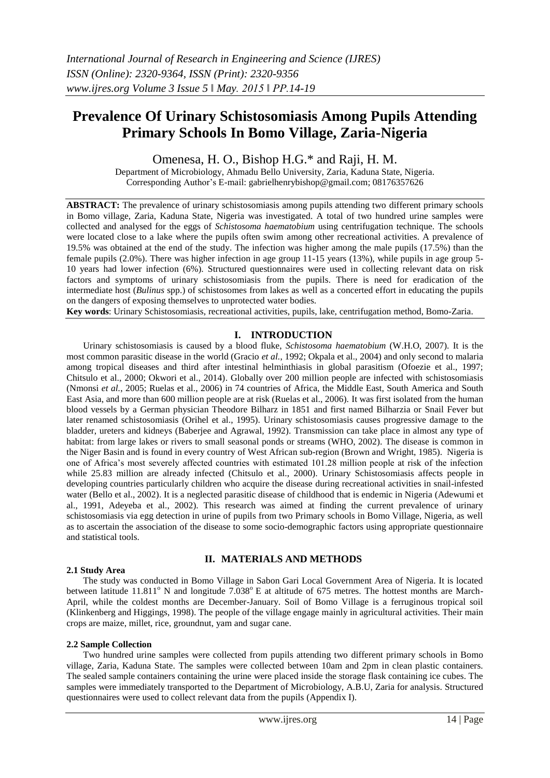# **Prevalence Of Urinary Schistosomiasis Among Pupils Attending Primary Schools In Bomo Village, Zaria-Nigeria**

Omenesa, H. O., Bishop H.G.\* and Raji, H. M.

Department of Microbiology, Ahmadu Bello University, Zaria, Kaduna State, Nigeria. Corresponding Author's E-mail: gabrielhenrybishop@gmail.com; 08176357626

**ABSTRACT:** The prevalence of urinary schistosomiasis among pupils attending two different primary schools in Bomo village, Zaria, Kaduna State, Nigeria was investigated. A total of two hundred urine samples were collected and analysed for the eggs of *Schistosoma haematobium* using centrifugation technique. The schools were located close to a lake where the pupils often swim among other recreational activities. A prevalence of 19.5% was obtained at the end of the study. The infection was higher among the male pupils (17.5%) than the female pupils (2.0%). There was higher infection in age group 11-15 years (13%), while pupils in age group 5- 10 years had lower infection (6%). Structured questionnaires were used in collecting relevant data on risk factors and symptoms of urinary schistosomiasis from the pupils. There is need for eradication of the intermediate host (*Bulinus* spp.) of schistosomes from lakes as well as a concerted effort in educating the pupils on the dangers of exposing themselves to unprotected water bodies.

**Key words**: Urinary Schistosomiasis, recreational activities, pupils, lake, centrifugation method, Bomo-Zaria.

#### **I. INTRODUCTION**

Urinary schistosomiasis is caused by a blood fluke, *Schistosoma haematobium* (W.H.O, 2007). It is the most common parasitic disease in the world (Gracio *et al.*, 1992; Okpala et al., 2004) and only second to malaria among tropical diseases and third after intestinal helminthiasis in global parasitism (Ofoezie et al., 1997; Chitsulo et al., 2000; Okwori et al., 2014). Globally over 200 million people are infected with schistosomiasis (Nmonsi *et al.*, 2005; Ruelas et al., 2006) in 74 countries of Africa, the Middle East, South America and South East Asia, and more than 600 million people are at risk (Ruelas et al., 2006). It was first isolated from the human blood vessels by a German physician Theodore Bilharz in 1851 and first named Bilharzia or Snail Fever but later renamed schistosomiasis (Orihel et al., 1995). Urinary schistosomiasis causes progressive damage to the bladder, ureters and kidneys (Baberjee and Agrawal, 1992). Transmission can take place in almost any type of habitat: from large lakes or rivers to small seasonal ponds or streams (WHO, 2002). The disease is common in the Niger Basin and is found in every country of West African sub-region (Brown and Wright, 1985). Nigeria is one of Africa's most severely affected countries with estimated 101.28 million people at risk of the infection while 25.83 million are already infected (Chitsulo et al., 2000). Urinary Schistosomiasis affects people in developing countries particularly children who acquire the disease during recreational activities in snail-infested water (Bello et al., 2002). It is a neglected parasitic disease of childhood that is endemic in Nigeria (Adewumi et al., 1991, Adeyeba et al., 2002). This research was aimed at finding the current prevalence of urinary schistosomiasis via egg detection in urine of pupils from two Primary schools in Bomo Village, Nigeria, as well as to ascertain the association of the disease to some socio-demographic factors using appropriate questionnaire and statistical tools.

#### **2.1 Study Area**

#### **II. MATERIALS AND METHODS**

The study was conducted in Bomo Village in Sabon Gari Local Government Area of Nigeria. It is located between latitude  $11.811^{\circ}$  N and longitude 7.038 $^{\circ}$  E at altitude of 675 metres. The hottest months are March-April, while the coldest months are December-January. Soil of Bomo Village is a ferruginous tropical soil (Klinkenberg and Higgings, 1998). The people of the village engage mainly in agricultural activities. Their main crops are maize, millet, rice, groundnut, yam and sugar cane.

#### **2.2 Sample Collection**

Two hundred urine samples were collected from pupils attending two different primary schools in Bomo village, Zaria, Kaduna State. The samples were collected between 10am and 2pm in clean plastic containers. The sealed sample containers containing the urine were placed inside the storage flask containing ice cubes. The samples were immediately transported to the Department of Microbiology, A.B.U, Zaria for analysis. Structured questionnaires were used to collect relevant data from the pupils (Appendix I).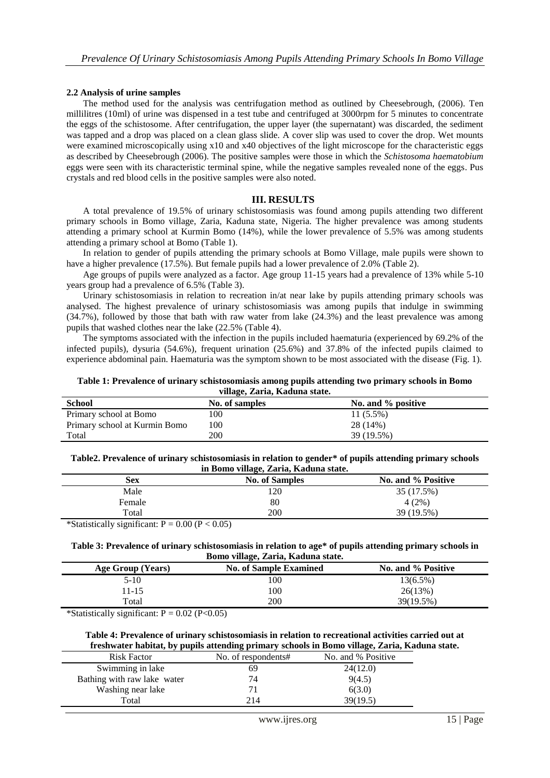#### **2.2 Analysis of urine samples**

The method used for the analysis was centrifugation method as outlined by Cheesebrough, (2006). Ten millilitres (10ml) of urine was dispensed in a test tube and centrifuged at 3000rpm for 5 minutes to concentrate the eggs of the schistosome. After centrifugation, the upper layer (the supernatant) was discarded, the sediment was tapped and a drop was placed on a clean glass slide. A cover slip was used to cover the drop. Wet mounts were examined microscopically using x10 and x40 objectives of the light microscope for the characteristic eggs as described by Cheesebrough (2006). The positive samples were those in which the *Schistosoma haematobium* eggs were seen with its characteristic terminal spine, while the negative samples revealed none of the eggs. Pus crystals and red blood cells in the positive samples were also noted.

#### **III. RESULTS**

A total prevalence of 19.5% of urinary schistosomiasis was found among pupils attending two different primary schools in Bomo village, Zaria, Kaduna state, Nigeria. The higher prevalence was among students attending a primary school at Kurmin Bomo (14%), while the lower prevalence of 5.5% was among students attending a primary school at Bomo (Table 1).

In relation to gender of pupils attending the primary schools at Bomo Village, male pupils were shown to have a higher prevalence (17.5%). But female pupils had a lower prevalence of 2.0% (Table 2).

Age groups of pupils were analyzed as a factor. Age group 11-15 years had a prevalence of 13% while 5-10 years group had a prevalence of 6.5% (Table 3).

Urinary schistosomiasis in relation to recreation in/at near lake by pupils attending primary schools was analysed. The highest prevalence of urinary schistosomiasis was among pupils that indulge in swimming (34.7%), followed by those that bath with raw water from lake (24.3%) and the least prevalence was among pupils that washed clothes near the lake (22.5% (Table 4).

The symptoms associated with the infection in the pupils included haematuria (experienced by 69.2% of the infected pupils), dysuria (54.6%), frequent urination (25.6%) and 37.8% of the infected pupils claimed to experience abdominal pain. Haematuria was the symptom shown to be most associated with the disease (Fig. 1).

**Table 1: Prevalence of urinary schistosomiasis among pupils attending two primary schools in Bomo village, Zaria, Kaduna state.**

| $\sim$ 2223 $\sim$ 442 $\sim$ 453 $\sim$ 453 $\sim$ 602 $\sim$ 603 $\sim$ 603 $\sim$ 603 $\sim$ 603 $\sim$ 603 $\sim$ 603 $\sim$ 603 $\sim$ 603 $\sim$ 603 $\sim$ 603 $\sim$ 603 $\sim$ 603 $\sim$ 603 $\sim$ 603 $\sim$ 603 $\sim$ 603 $\sim$ 603 $\sim$ 603 $\sim$ 603 $\sim$ |                |                    |  |
|---------------------------------------------------------------------------------------------------------------------------------------------------------------------------------------------------------------------------------------------------------------------------------|----------------|--------------------|--|
| <b>School</b>                                                                                                                                                                                                                                                                   | No. of samples | No. and % positive |  |
| Primary school at Bomo                                                                                                                                                                                                                                                          | 100            | 11 (5.5%)          |  |
| Primary school at Kurmin Bomo                                                                                                                                                                                                                                                   | 100            | 28 (14%)           |  |
| Total                                                                                                                                                                                                                                                                           | 200            | 39 (19.5%)         |  |

**Table2. Prevalence of urinary schistosomiasis in relation to gender\* of pupils attending primary schools in Bomo village, Zaria, Kaduna state.**

| $\frac{1}{2}$ $\frac{1}{2}$ $\frac{1}{2}$ $\frac{1}{2}$ $\frac{1}{2}$ $\frac{1}{2}$ $\frac{1}{2}$ $\frac{1}{2}$ $\frac{1}{2}$ $\frac{1}{2}$ $\frac{1}{2}$ $\frac{1}{2}$ $\frac{1}{2}$ $\frac{1}{2}$ $\frac{1}{2}$ $\frac{1}{2}$ $\frac{1}{2}$ $\frac{1}{2}$ $\frac{1}{2}$ $\frac{1}{2}$ $\frac{1}{2}$ $\frac{1}{2}$ |                       |                    |  |  |
|---------------------------------------------------------------------------------------------------------------------------------------------------------------------------------------------------------------------------------------------------------------------------------------------------------------------|-----------------------|--------------------|--|--|
| Sex                                                                                                                                                                                                                                                                                                                 | <b>No. of Samples</b> | No. and % Positive |  |  |
| Male                                                                                                                                                                                                                                                                                                                | 120                   | 35 (17.5%)         |  |  |
| Female                                                                                                                                                                                                                                                                                                              | 80                    | 4(2%)              |  |  |
| Total                                                                                                                                                                                                                                                                                                               | 200                   | 39 (19.5%)         |  |  |
| $\mathcal{L}$ , $\mathcal{L}$ , $\mathcal{L}$ , $\mathcal{L}$ , $\mathcal{L}$ , $\mathcal{L}$ , $\mathcal{L}$ , $\mathcal{L}$ , $\mathcal{L}$<br>$\mathbf{R}$ and $\mathbf{R}$ and $\mathbf{R}$                                                                                                                     |                       |                    |  |  |

\*Statistically significant:  $P = 0.00$  ( $P < 0.05$ )

#### **Table 3: Prevalence of urinary schistosomiasis in relation to age\* of pupils attending primary schools in Bomo village, Zaria, Kaduna state.**

| Age Group (Years) | <b>No. of Sample Examined</b> | No. and % Positive |
|-------------------|-------------------------------|--------------------|
| 5-10              | 100                           | $13(6.5\%)$        |
| $1 - 15$          | 100                           | 26(13%)            |
| Total             | 200                           | 39(19.5%)          |

\*Statistically significant:  $P = 0.02$  (P<0.05)

#### **Table 4: Prevalence of urinary schistosomiasis in relation to recreational activities carried out at freshwater habitat, by pupils attending primary schools in Bomo village, Zaria, Kaduna state.**

| <b>Risk Factor</b>          | No. of respondents# | No. and % Positive |
|-----------------------------|---------------------|--------------------|
| Swimming in lake            | 69                  | 24(12.0)           |
| Bathing with raw lake water | 74                  | 9(4.5)             |
| Washing near lake           |                     | 6(3.0)             |
| Total                       | 214                 | 39(19.5)           |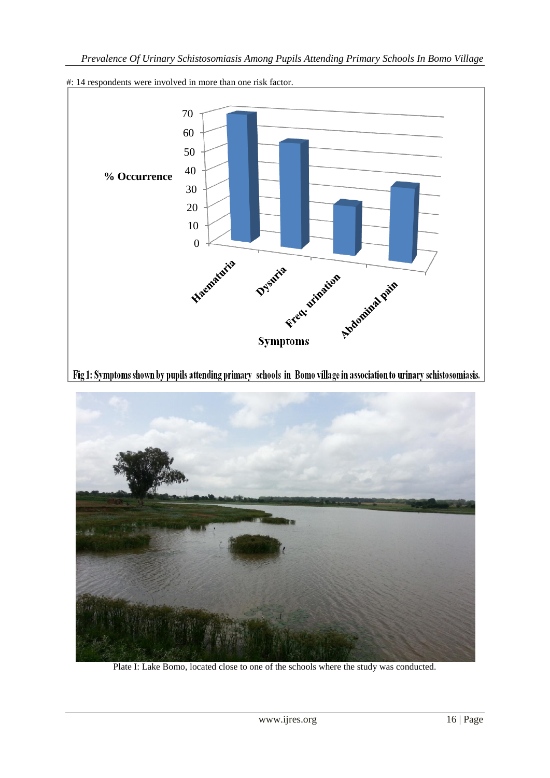

## #: 14 respondents were involved in more than one risk factor.

Fig 1: Symptoms shown by pupils attending primary schools in Bomo village in association to urinary schistosomiasis.



Plate I: Lake Bomo, located close to one of the schools where the study was conducted.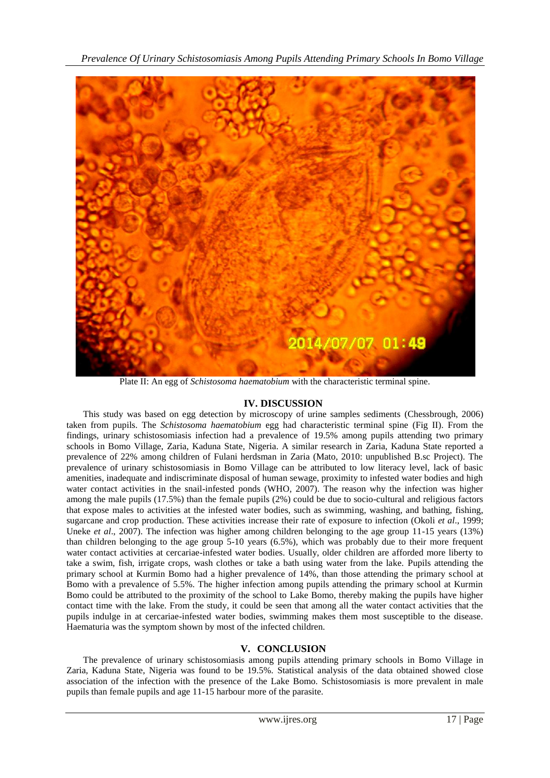

Plate II: An egg of *Schistosoma haematobium* with the characteristic terminal spine.

## **IV. DISCUSSION**

This study was based on egg detection by microscopy of urine samples sediments (Chessbrough, 2006) taken from pupils. The *Schistosoma haematobium* egg had characteristic terminal spine (Fig II). From the findings, urinary schistosomiasis infection had a prevalence of 19.5% among pupils attending two primary schools in Bomo Village, Zaria, Kaduna State, Nigeria. A similar research in Zaria, Kaduna State reported a prevalence of 22% among children of Fulani herdsman in Zaria (Mato, 2010: unpublished B.sc Project). The prevalence of urinary schistosomiasis in Bomo Village can be attributed to low literacy level, lack of basic amenities, inadequate and indiscriminate disposal of human sewage, proximity to infested water bodies and high water contact activities in the snail-infested ponds (WHO, 2007). The reason why the infection was higher among the male pupils (17.5%) than the female pupils (2%) could be due to socio-cultural and religious factors that expose males to activities at the infested water bodies, such as swimming, washing, and bathing, fishing, sugarcane and crop production. These activities increase their rate of exposure to infection (Okoli *et al*., 1999; Uneke *et al.*, 2007). The infection was higher among children belonging to the age group 11-15 years (13%) than children belonging to the age group 5-10 years (6.5%), which was probably due to their more frequent water contact activities at cercariae-infested water bodies. Usually, older children are afforded more liberty to take a swim, fish, irrigate crops, wash clothes or take a bath using water from the lake. Pupils attending the primary school at Kurmin Bomo had a higher prevalence of 14%, than those attending the primary school at Bomo with a prevalence of 5.5%. The higher infection among pupils attending the primary school at Kurmin Bomo could be attributed to the proximity of the school to Lake Bomo, thereby making the pupils have higher contact time with the lake. From the study, it could be seen that among all the water contact activities that the pupils indulge in at cercariae-infested water bodies, swimming makes them most susceptible to the disease. Haematuria was the symptom shown by most of the infected children.

## **V. CONCLUSION**

The prevalence of urinary schistosomiasis among pupils attending primary schools in Bomo Village in Zaria, Kaduna State, Nigeria was found to be 19.5%. Statistical analysis of the data obtained showed close association of the infection with the presence of the Lake Bomo. Schistosomiasis is more prevalent in male pupils than female pupils and age 11-15 harbour more of the parasite.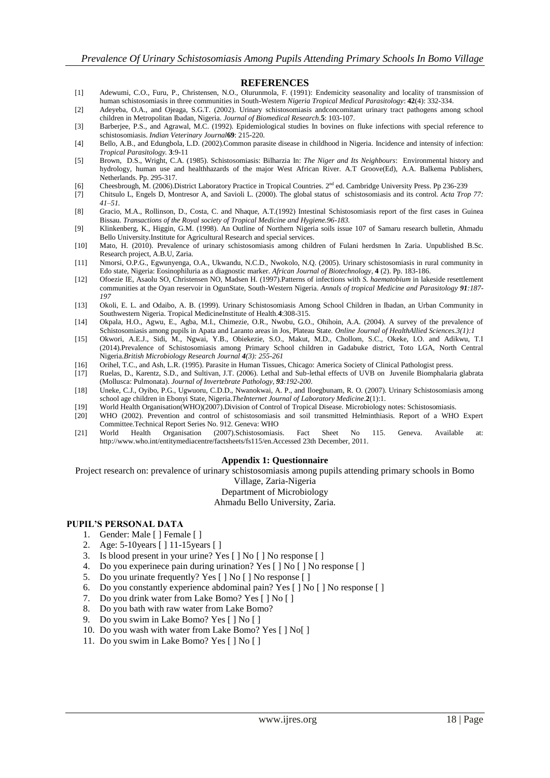#### **REFERENCES**

- [1] Adewumi, C.O., Furu, P., Christensen, N.O., Olurunmola, F. (1991): Endemicity seasonality and locality of transmission of human schistosomiasis in three communities in South-Western *Nigeria Tropical Medical Parasitology*: **42**(4): 332-334.
- [2] Adeyeba, O.A., and Ojeaga, S.G.T. (2002). Urinary schistosomiasis andconcomitant urinary tract pathogens among school children in Metropolitan Ibadan, Nigeria. *Journal of Biomedical Research*.**5**: 103-107.
- [3] Barberjee, P.S., and Agrawal, M.C. (1992). Epidemiological studies In bovines on fluke infections with special reference to schistosomiasis. *Indian Veterinary Journal***69**: 215-220.
- [4] Bello, A.B., and Edungbola, L.D. (2002).Common parasite disease in childhood in Nigeria. Incidence and intensity of infection: *Tropical Parasitology.* **3**:9-11
- [5] Brown, D.S., Wright, C.A. (1985). Schistosomiasis: Bilharzia In: *The Niger and Its Neighbours*: Environmental history and hydrology, human use and healthhazards of the major West African River. A.T Groove(Ed), A.A. Balkema Publishers, Netherlands. Pp. 295-317.
- [6] Cheesbrough, M. (2006).District Laboratory Practice in Tropical Countries. 2<sup>nd</sup> ed. Cambridge University Press. Pp 236-239
- [7] Chitsulo L, Engels D, Montresor A, and Savioli L. (2000). The global status of schistosomiasis and its control. *Acta Trop 77: 41–51.*
- [8] Gracio, M.A., Rollinson, D., Costa, C. and Nhaque, A.T.(1992) Intestinal Schistosomiasis report of the first cases in Guinea Bissau. *Transactions of the Royal society of Tropical Medicine and Hygiene.96-183.*
- [9] Klinkenberg, K., Higgin, G.M. (1998). An Outline of Northern Nigeria soils issue 107 of Samaru research bulletin, Ahmadu Bello University.Institute for Agricultural Research and special services.
- [10] Mato, H. (2010). Prevalence of urinary schistosomiasis among children of Fulani herdsmen In Zaria. Unpublished B.Sc. Research project, A.B.U, Zaria.
- [11] Nmorsi, O.P.G., Egwunyenga, O.A., Ukwandu, N.C.D., Nwokolo, N.Q. (2005). Urinary schistosomiasis in rural community in Edo state, Nigeria: Eosinophiluria as a diagnostic marker. *African Journal of Biotechnology*, **4** (2). Pp. 183-186.
- [12] Ofoezie IE, Asaolu SO, Christensen NO, Madsen H. (1997).Patterns of infections with *S. haematobium* in lakeside resettlement communities at the Oyan reservoir in OgunState, South-Western Nigeria. *Annals of tropical Medicine and Parasitology 91:187- 197*
- [13] Okoli, E. L. and Odaibo, A. B. (1999). Urinary Schistosomiasis Among School Children in Ibadan, an Urban Community in Southwestern Nigeria. Tropical MedicineInstitute of Health.**4**:308-315.
- [14] Okpala, H.O., Agwu, E., Agba, M.I., Chimezie, O.R., Nwobu, G.O., Ohihoin, A.A. (2004). A survey of the prevalence of Schistosomiasis among pupils in Apata and Laranto areas in Jos, Plateau State. *Online Journal of HealthAllied Sciences.3(1):1*
- [15] Okwori, A.E.J., Sidi, M., Ngwai, Y.B., Obiekezie, S.O., Makut, M.D., Chollom, S.C., Okeke, I.O. and Adikwu, T.I (2014).Prevalence of Schistosomiasis among Primary School children in Gadabuke district, Toto LGA, North Central Nigeria.*British Microbiology Research Journal 4(3): 255-261*
- [16] Orihel, T.C., and Ash, L.R. (1995). Parasite in Human Tissues, Chicago: America Society of Clinical Pathologist press.
- [17] Ruelas, D., Karentz, S.D., and Sultivan, J.T. (2006). Lethal and Sub-lethal effects of UVB on Juvenile Biomphalaria glabrata (Mollusca: Pulmonata). *Journal of Invertebrate Pathology*, *93:192-200*.
- [18] Uneke, C.J., Oyibo, P.G., Ugwuoru, C.D.D., Nwanokwai, A. P., and Iloegbunam, R. O. (2007). Urinary Schistosomiasis among school age children in Ebonyi State, Nigeria.*TheInternet Journal of Laboratory Medicine*.**2**(1):1.
- [19] World Health Organisation(WHO)(2007).Division of Control of Tropical Disease. Microbiology notes: Schistosomiasis.
- [20] WHO (2002). Prevention and control of schistosomiasis and soil transmitted Helminthiasis. Report of a WHO Expert Committee.Technical Report Series No. 912. Geneva: WHO
- [21] World Health Organisation (2007).Schistosomiasis. Fact Sheet No 115. Geneva. Available at: <http://www.who.int/entitymediacentre/factsheets/fs115/en.Accessed> 23th December, 2011.

#### **Appendix 1: Questionnaire**

Project research on: prevalence of urinary schistosomiasis among pupils attending primary schools in Bomo

Village, Zaria-Nigeria

Department of Microbiology

Ahmadu Bello University, Zaria.

#### **PUPIL'S PERSONAL DATA**

- 1. Gender: Male [ ] Female [ ]
- 2. Age: 5-10years [ ] 11-15years [ ]
- 3. Is blood present in your urine? Yes [ ] No [ ] No response [ ]
- 4. Do you experinece pain during urination? Yes [ ] No [ ] No response [ ]
- 5. Do you urinate frequently? Yes [ ] No [ ] No response [ ]
- 6. Do you constantly experience abdominal pain? Yes [ ] No [ ] No response [ ]
- 7. Do you drink water from Lake Bomo? Yes [ ] No [ ]
- 8. Do you bath with raw water from Lake Bomo?
- 9. Do you swim in Lake Bomo? Yes [ ] No [ ]
- 10. Do you wash with water from Lake Bomo? Yes [ ] No[ ]
- 11. Do you swim in Lake Bomo? Yes [ ] No [ ]